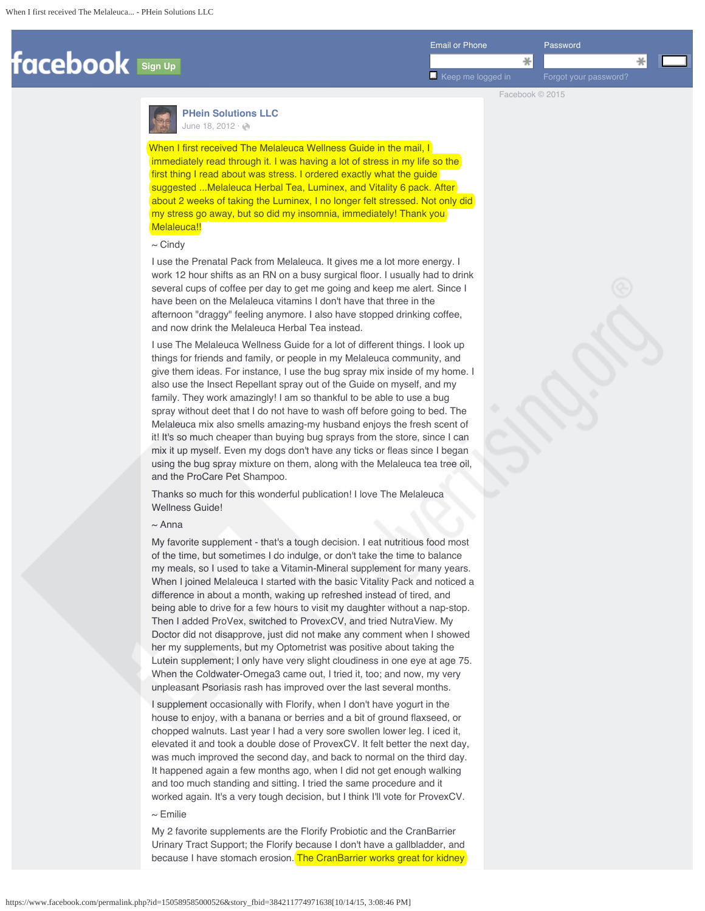<span id="page-0-0"></span>

Facebook © 2015



**[PHein Solutions LLC](https://www.facebook.com/pages/PHein-Solutions-LLC/150589585000526?fref=nf)** [June 18, 2012](https://www.facebook.com/permalink.php?story_fbid=384211774971638&id=150589585000526) $\cdot$   $\odot$ 

When I first received The Melaleuca Wellness Guide in the mail, I immediately read through it. I was having a lot of stress in my life so the first thing I read about was stress. I ordered exactly what the guide suggested ... Melaleuca Herbal Tea, Luminex, and Vitality 6 pack. After about 2 weeks of taking the Luminex, I no longer felt stressed. Not only did my stress go away, but so did my insomnia, immediately! Thank you Melaleuca!!

## $\sim$  Cindy

 I use the Prenatal Pack from Melaleuca. It gives me a lot more energy. I work 12 hour shifts as an RN on a busy surgical floor. I usually had to drink several cups of coffee per day to get me going and keep me alert. Since I have been on the Melaleuca vitamins I don't have that three in the afternoon "draggy" feeling anymore. I also have stopped drinking coffee, and now drink the Melaleuca Herbal Tea instead.

 I use The Melaleuca Wellness Guide for a lot of different things. I look up things for friends and family, or people in my Melaleuca community, and give them ideas. For instance, I use the bug spray mix inside of my home. I also use the Insect Repellant spray out of the Guide on myself, and my family. They work amazingly! I am so thankful to be able to use a bug spray without deet that I do not have to wash off before going to bed. The Melaleuca mix also smells amazing-my husband enjoys the fresh scent of it! It's so much cheaper than buying bug sprays from the store, since I can mix it up myself. Even my dogs don't have any ticks or fleas since I began using the bug spray mixture on them, along with the Melaleuca tea tree oil, and the ProCare Pet Shampoo.

 Thanks so much for this wonderful publication! I love The Melaleuca Wellness Guide!

# $\sim$  Anna

My favorite supplement - that's a tough decision. I eat nutritious food most of the time, but sometimes I do indulge, or don't take the time to balance my meals, so I used to take a Vitamin-Mineral supplement for many years. When I joined Melaleuca I started with the basic Vitality Pack and noticed a difference in about a month, waking up refreshed instead of tired, and being able to drive for a few hours to visit my daughter without a nap-stop. Then I added ProVex, switched to ProvexCV, and tried NutraView. My Doctor did not disapprove, just did not make any comment when I showed her my supplements, but my Optometrist was positive about taking the Lutein supplement; I only have very slight cloudiness in one eye at age 75. When the Coldwater-Omega3 came out, I tried it, too; and now, my very unpleasant Psoriasis rash has improved over the last several months.

 I supplement occasionally with Florify, when I don't have yogurt in the house to enjoy, with a banana or berries and a bit of ground flaxseed, or chopped walnuts. Last year I had a very sore swollen lower leg. I iced it, elevated it and took a double dose of ProvexCV. It felt better the next day, was much improved the second day, and back to normal on the third day. It happened again a few months ago, when I did not get enough walking and too much standing and sitting. I tried the same procedure and it worked again. It's a very tough decision, but I think I'll vote for ProvexCV.  $\sim$  Emilie

My 2 favorite supplements are the Florify Probiotic and the CranBarrier Urinary Tract Support; the Florify because I don't have a gallbladder, and because I have stomach erosion. The CranBarrier works great for kidney